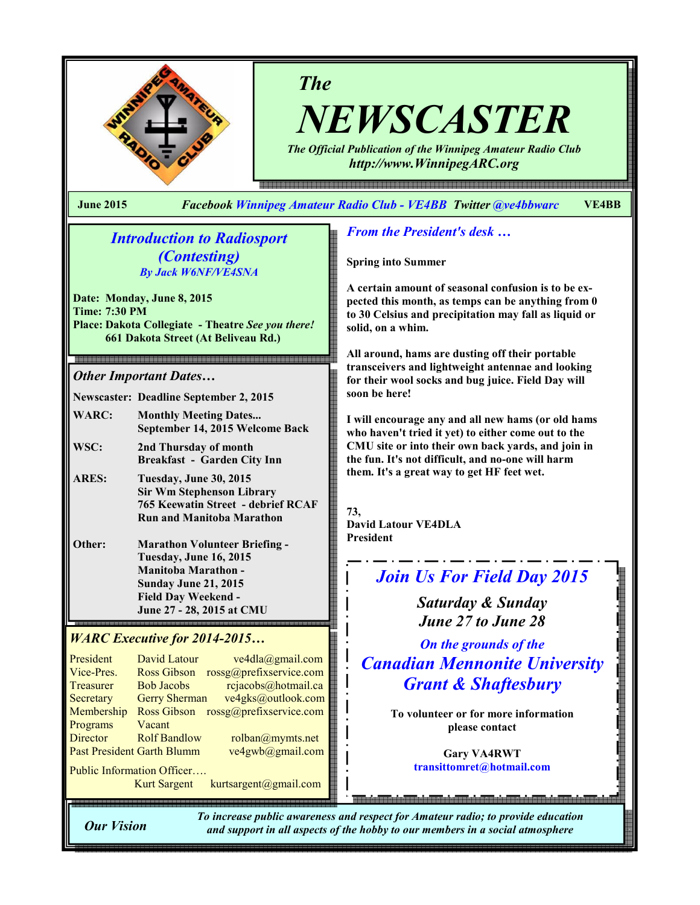

# The

NEWSCASTER

The Official Publication of the Winnipeg Amateur Radio Club http://www.WinnipegARC.org

June 2015 Facebook Winnipeg Amateur Radio Club - VE4BB Twitter @ve4bbwarc VE4BB

## Introduction to Radiosport (Contesting) By Jack W6NF/VE4SNA

Date: Monday, June 8, 2015 Time: 7:30 PM Place: Dakota Collegiate - Theatre See you there! 661 Dakota Street (At Beliveau Rd.)

### Other Important Dates…

Newscaster: Deadline September 2, 2015

- WARC: Monthly Meeting Dates... September 14, 2015 Welcome Back
- WSC: 2nd Thursday of month Breakfast - Garden City Inn
- ARES: Tuesday, June 30, 2015 Sir Wm Stephenson Library 765 Keewatin Street - debrief RCAF Run and Manitoba Marathon
- Other: Marathon Volunteer Briefing Tuesday, June 16, 2015 Manitoba Marathon - Sunday June 21, 2015 Field Day Weekend - June 27 - 28, 2015 at CMU

## WARC Executive for 2014-2015…

| President                         | David Latour         | ve4dla@gmail.com        |
|-----------------------------------|----------------------|-------------------------|
| Vice-Pres.                        | <b>Ross Gibson</b>   | rossg@prefixservice.com |
| <b>Treasurer</b>                  | <b>Bob Jacobs</b>    | rcjacobs@hotmail.ca     |
| Secretary                         | <b>Gerry Sherman</b> | ve4gks@outlook.com      |
| Membership                        | <b>Ross Gibson</b>   | rossg@prefixservice.com |
| Programs                          | Vacant               |                         |
| <b>Director</b>                   | <b>Rolf Bandlow</b>  | rolban@mymts.net        |
| <b>Past President Garth Blumm</b> |                      | ve4gwb@gmail.com        |
|                                   |                      |                         |

Public Information Officer…. Kurt Sargent kurtsargent@gmail.com

## From the President's desk …

Spring into Summer

A certain amount of seasonal confusion is to be expected this month, as temps can be anything from 0 to 30 Celsius and precipitation may fall as liquid or solid, on a whim.

All around, hams are dusting off their portable transceivers and lightweight antennae and looking for their wool socks and bug juice. Field Day will soon be here!

I will encourage any and all new hams (or old hams who haven't tried it yet) to either come out to the CMU site or into their own back yards, and join in the fun. It's not difficult, and no-one will harm them. It's a great way to get HF feet wet.

73, David Latour VE4DLA President

# Join Us For Field Day 2015

Saturday & Sunday June 27 to June 28

On the grounds of the Canadian Mennonite University Grant & Shaftesbury

> To volunteer or for more information please contact

> > Gary VA4RWT transittomret@hotmail.com

Our Vision

To increase public awareness and respect for Amateur radio; to provide education and support in all aspects of the hobby to our members in a social atmosphere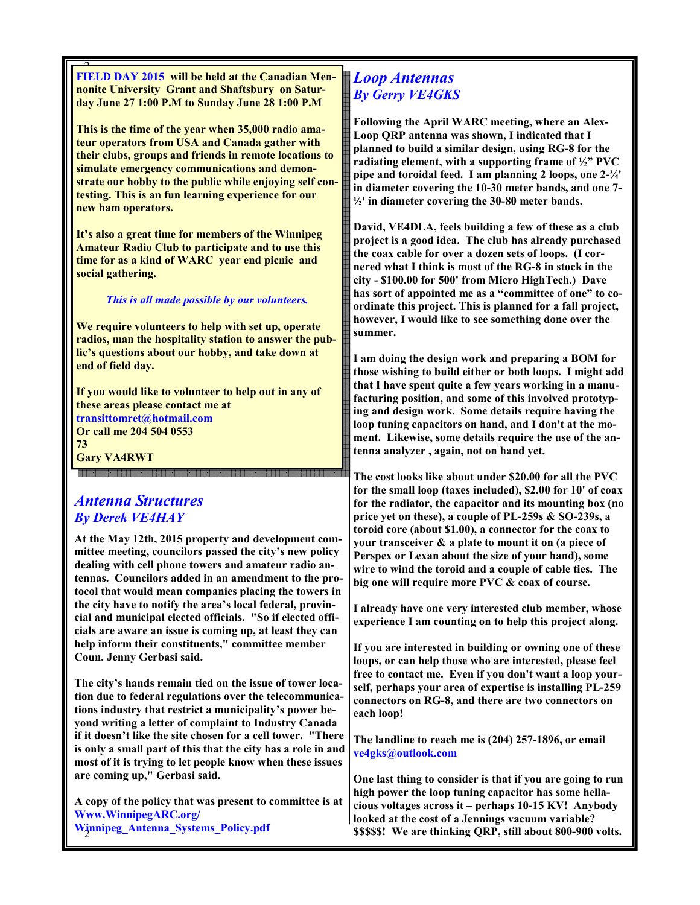$\overline{\phantom{1}}$ FIELD DAY 2015 will be held at the Canadian Mennonite University Grant and Shaftsbury on Saturday June 27 1:00 P.M to Sunday June 28 1:00 P.M

This is the time of the year when 35,000 radio amateur operators from USA and Canada gather with their clubs, groups and friends in remote locations to simulate emergency communications and demonstrate our hobby to the public while enjoying self contesting. This is an fun learning experience for our new ham operators.

It's also a great time for members of the Winnipeg Amateur Radio Club to participate and to use this time for as a kind of WARC year end picnic and social gathering.

This is all made possible by our volunteers.

We require volunteers to help with set up, operate radios, man the hospitality station to answer the public's questions about our hobby, and take down at end of field day.

If you would like to volunteer to help out in any of these areas please contact me at transittomret@hotmail.com Or call me 204 504 0553 73 Gary VA4RWT

## Antenna Structures By Derek VE4HAY

-------------------------------

At the May 12th, 2015 property and development committee meeting, councilors passed the city's new policy dealing with cell phone towers and amateur radio antennas. Councilors added in an amendment to the protocol that would mean companies placing the towers in the city have to notify the area's local federal, provincial and municipal elected officials. "So if elected officials are aware an issue is coming up, at least they can help inform their constituents," committee member Coun. Jenny Gerbasi said.

The city's hands remain tied on the issue of tower location due to federal regulations over the telecommunications industry that restrict a municipality's power beyond writing a letter of complaint to Industry Canada if it doesn't like the site chosen for a cell tower. "There is only a small part of this that the city has a role in and most of it is trying to let people know when these issues are coming up," Gerbasi said.

2 Winnipeg\_Antenna\_Systems\_Policy.pdf A copy of the policy that was present to committee is at Www.WinnipegARC.org/

## Loop Antennas By Gerry VE4GKS

Following the April WARC meeting, where an Alex-Loop QRP antenna was shown, I indicated that I planned to build a similar design, using RG-8 for the radiating element, with a supporting frame of ½" PVC pipe and toroidal feed. I am planning 2 loops, one 2-¾' in diameter covering the 10-30 meter bands, and one 7-  $\frac{1}{2}$  in diameter covering the 30-80 meter bands.

David, VE4DLA, feels building a few of these as a club project is a good idea. The club has already purchased the coax cable for over a dozen sets of loops. (I cornered what I think is most of the RG-8 in stock in the city - \$100.00 for 500' from Micro HighTech.) Dave has sort of appointed me as a "committee of one" to coordinate this project. This is planned for a fall project, however, I would like to see something done over the summer.

I am doing the design work and preparing a BOM for those wishing to build either or both loops. I might add that I have spent quite a few years working in a manufacturing position, and some of this involved prototyping and design work. Some details require having the loop tuning capacitors on hand, and I don't at the moment. Likewise, some details require the use of the antenna analyzer , again, not on hand yet.

The cost looks like about under \$20.00 for all the PVC for the small loop (taxes included), \$2.00 for 10' of coax for the radiator, the capacitor and its mounting box (no price yet on these), a couple of PL-259s & SO-239s, a toroid core (about \$1.00), a connector for the coax to your transceiver & a plate to mount it on (a piece of Perspex or Lexan about the size of your hand), some wire to wind the toroid and a couple of cable ties. The big one will require more PVC & coax of course.

I already have one very interested club member, whose experience I am counting on to help this project along.

If you are interested in building or owning one of these loops, or can help those who are interested, please feel free to contact me. Even if you don't want a loop yourself, perhaps your area of expertise is installing PL-259 connectors on RG-8, and there are two connectors on each loop!

The landline to reach me is (204) 257-1896, or email ve4gks@outlook.com

One last thing to consider is that if you are going to run high power the loop tuning capacitor has some hellacious voltages across it – perhaps 10-15 KV! Anybody looked at the cost of a Jennings vacuum variable? \$\$\$\$\$! We are thinking QRP, still about 800-900 volts.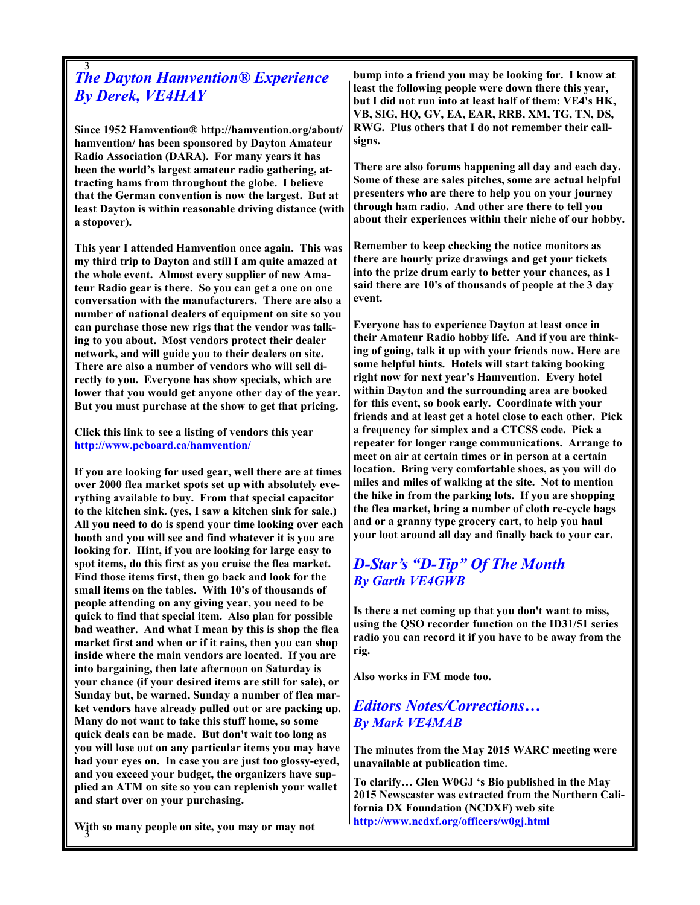### 3 The Dayton Hamvention® Experience By Derek, VE4HAY

Since 1952 Hamvention® http://hamvention.org/about/ hamvention/ has been sponsored by Dayton Amateur Radio Association (DARA). For many years it has been the world's largest amateur radio gathering, attracting hams from throughout the globe. I believe that the German convention is now the largest. But at least Dayton is within reasonable driving distance (with a stopover).

This year I attended Hamvention once again. This was my third trip to Dayton and still I am quite amazed at the whole event. Almost every supplier of new Amateur Radio gear is there. So you can get a one on one conversation with the manufacturers. There are also a number of national dealers of equipment on site so you can purchase those new rigs that the vendor was talking to you about. Most vendors protect their dealer network, and will guide you to their dealers on site. There are also a number of vendors who will sell directly to you. Everyone has show specials, which are lower that you would get anyone other day of the year. But you must purchase at the show to get that pricing.

#### Click this link to see a listing of vendors this year http://www.pcboard.ca/hamvention/

If you are looking for used gear, well there are at times over 2000 flea market spots set up with absolutely everything available to buy. From that special capacitor to the kitchen sink. (yes, I saw a kitchen sink for sale.) All you need to do is spend your time looking over each booth and you will see and find whatever it is you are looking for. Hint, if you are looking for large easy to spot items, do this first as you cruise the flea market. Find those items first, then go back and look for the small items on the tables. With 10's of thousands of people attending on any giving year, you need to be quick to find that special item. Also plan for possible bad weather. And what I mean by this is shop the flea market first and when or if it rains, then you can shop inside where the main vendors are located. If you are into bargaining, then late afternoon on Saturday is your chance (if your desired items are still for sale), or Sunday but, be warned, Sunday a number of flea market vendors have already pulled out or are packing up. Many do not want to take this stuff home, so some quick deals can be made. But don't wait too long as you will lose out on any particular items you may have had your eyes on. In case you are just too glossy-eyed, and you exceed your budget, the organizers have supplied an ATM on site so you can replenish your wallet and start over on your purchasing.

bump into a friend you may be looking for. I know at least the following people were down there this year, but I did not run into at least half of them: VE4's HK, VB, SIG, HQ, GV, EA, EAR, RRB, XM, TG, TN, DS, RWG. Plus others that I do not remember their callsigns.

There are also forums happening all day and each day. Some of these are sales pitches, some are actual helpful presenters who are there to help you on your journey through ham radio. And other are there to tell you about their experiences within their niche of our hobby.

Remember to keep checking the notice monitors as there are hourly prize drawings and get your tickets into the prize drum early to better your chances, as I said there are 10's of thousands of people at the 3 day event.

Everyone has to experience Dayton at least once in their Amateur Radio hobby life. And if you are thinking of going, talk it up with your friends now. Here are some helpful hints. Hotels will start taking booking right now for next year's Hamvention. Every hotel within Dayton and the surrounding area are booked for this event, so book early. Coordinate with your friends and at least get a hotel close to each other. Pick a frequency for simplex and a CTCSS code. Pick a repeater for longer range communications. Arrange to meet on air at certain times or in person at a certain location. Bring very comfortable shoes, as you will do miles and miles of walking at the site. Not to mention the hike in from the parking lots. If you are shopping the flea market, bring a number of cloth re-cycle bags and or a granny type grocery cart, to help you haul your loot around all day and finally back to your car.

## D-Star's "D-Tip" Of The Month By Garth VE4GWB

Is there a net coming up that you don't want to miss, using the QSO recorder function on the ID31/51 series radio you can record it if you have to be away from the rig.

Also works in FM mode too.

## Editors Notes/Corrections… By Mark VE4MAB

The minutes from the May 2015 WARC meeting were unavailable at publication time.

To clarify… Glen W0GJ 's Bio published in the May 2015 Newscaster was extracted from the Northern California DX Foundation (NCDXF) web site http://www.ncdxf.org/officers/w0gj.html

3 With so many people on site, you may or may not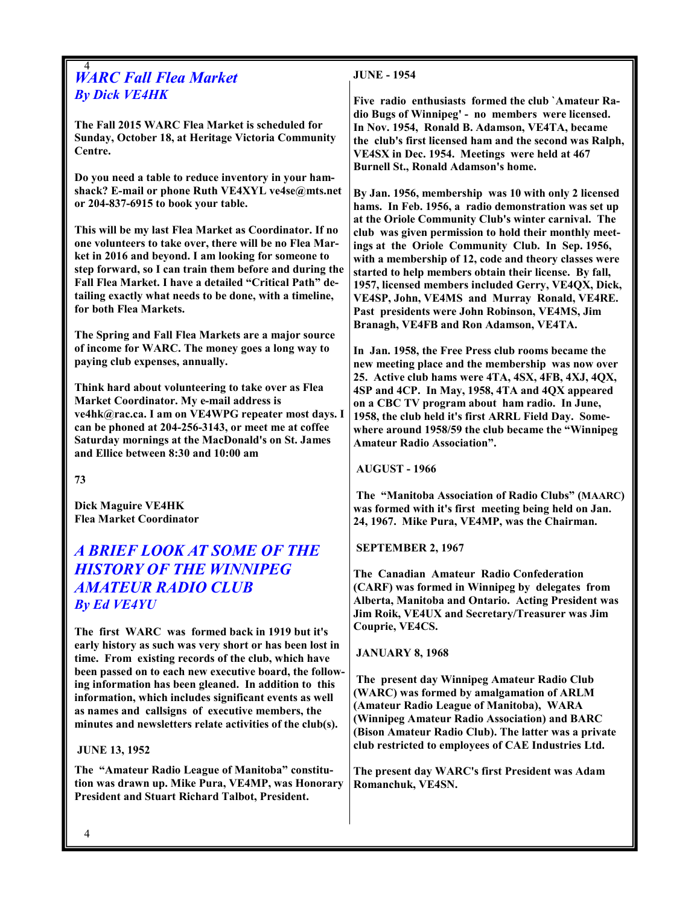#### 4 WARC Fall Flea Market By Dick VE4HK

The Fall 2015 WARC Flea Market is scheduled for Sunday, October 18, at Heritage Victoria Community Centre.

Do you need a table to reduce inventory in your hamshack? E-mail or phone Ruth VE4XYL ve4se@mts.net or 204-837-6915 to book your table.

This will be my last Flea Market as Coordinator. If no one volunteers to take over, there will be no Flea Market in 2016 and beyond. I am looking for someone to step forward, so I can train them before and during the Fall Flea Market. I have a detailed "Critical Path" detailing exactly what needs to be done, with a timeline, for both Flea Markets.

The Spring and Fall Flea Markets are a major source of income for WARC. The money goes a long way to paying club expenses, annually.

Think hard about volunteering to take over as Flea Market Coordinator. My e-mail address is ve4hk@rac.ca. I am on VE4WPG repeater most days. I can be phoned at 204-256-3143, or meet me at coffee Saturday mornings at the MacDonald's on St. James and Ellice between 8:30 and 10:00 am

73

Dick Maguire VE4HK Flea Market Coordinator

# A BRIEF LOOK AT SOME OF THE HISTORY OF THE WINNIPEG AMATEUR RADIO CLUB By Ed VE4YU

The first WARC was formed back in 1919 but it's early history as such was very short or has been lost in time. From existing records of the club, which have been passed on to each new executive board, the following information has been gleaned. In addition to this information, which includes significant events as well as names and callsigns of executive members, the minutes and newsletters relate activities of the club(s).

#### JUNE 13, 1952

The "Amateur Radio League of Manitoba" constitution was drawn up. Mike Pura, VE4MP, was Honorary President and Stuart Richard Talbot, President.

### JUNE - 1954

Five radio enthusiasts formed the club `Amateur Radio Bugs of Winnipeg' - no members were licensed. In Nov. 1954, Ronald B. Adamson, VE4TA, became the club's first licensed ham and the second was Ralph, VE4SX in Dec. 1954. Meetings were held at 467 Burnell St., Ronald Adamson's home.

By Jan. 1956, membership was 10 with only 2 licensed hams. In Feb. 1956, a radio demonstration was set up at the Oriole Community Club's winter carnival. The club was given permission to hold their monthly meetings at the Oriole Community Club. In Sep. 1956, with a membership of 12, code and theory classes were started to help members obtain their license. By fall, 1957, licensed members included Gerry, VE4QX, Dick, VE4SP, John, VE4MS and Murray Ronald, VE4RE. Past presidents were John Robinson, VE4MS, Jim Branagh, VE4FB and Ron Adamson, VE4TA.

In Jan. 1958, the Free Press club rooms became the new meeting place and the membership was now over 25. Active club hams were 4TA, 4SX, 4FB, 4XJ, 4QX, 4SP and 4CP. In May, 1958, 4TA and 4QX appeared on a CBC TV program about ham radio. In June, 1958, the club held it's first ARRL Field Day. Somewhere around 1958/59 the club became the "Winnipeg Amateur Radio Association".

AUGUST - 1966

 The "Manitoba Association of Radio Clubs" (MAARC) was formed with it's first meeting being held on Jan. 24, 1967. Mike Pura, VE4MP, was the Chairman.

SEPTEMBER 2, 1967

The Canadian Amateur Radio Confederation (CARF) was formed in Winnipeg by delegates from Alberta, Manitoba and Ontario. Acting President was Jim Roik, VE4UX and Secretary/Treasurer was Jim Couprie, VE4CS.

JANUARY 8, 1968

 The present day Winnipeg Amateur Radio Club (WARC) was formed by amalgamation of ARLM (Amateur Radio League of Manitoba), WARA (Winnipeg Amateur Radio Association) and BARC (Bison Amateur Radio Club). The latter was a private club restricted to employees of CAE Industries Ltd.

The present day WARC's first President was Adam Romanchuk, VE4SN.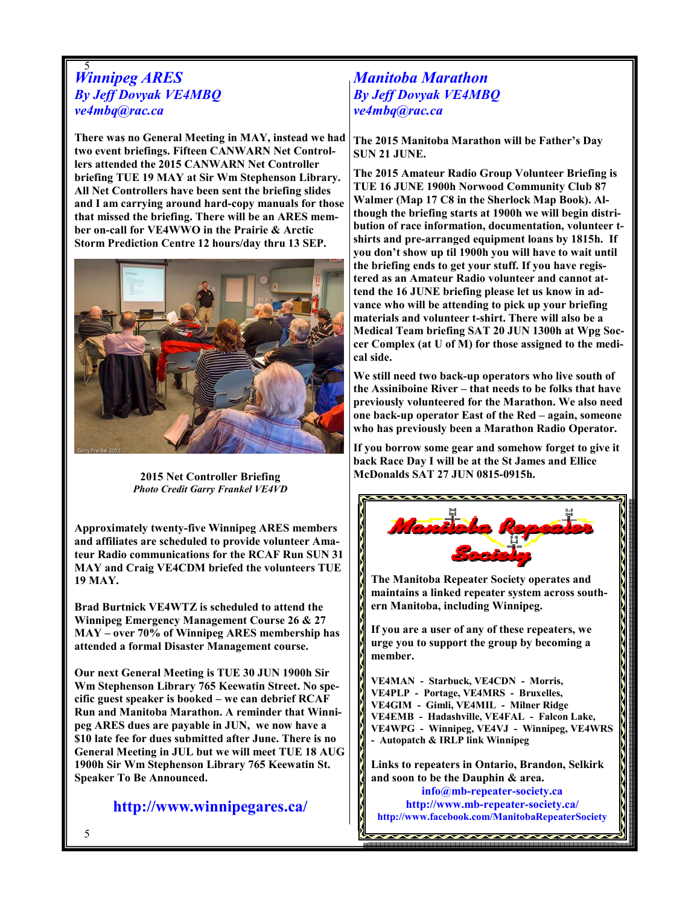#### 5 Winnipeg ARES By Jeff Dovyak VE4MBQ ve4mbq@rac.ca

There was no General Meeting in MAY, instead we had two event briefings. Fifteen CANWARN Net Controllers attended the 2015 CANWARN Net Controller briefing TUE 19 MAY at Sir Wm Stephenson Library. All Net Controllers have been sent the briefing slides and I am carrying around hard-copy manuals for those that missed the briefing. There will be an ARES member on-call for VE4WWO in the Prairie & Arctic Storm Prediction Centre 12 hours/day thru 13 SEP.



2015 Net Controller Briefing Photo Credit Garry Frankel VE4VD

Approximately twenty-five Winnipeg ARES members and affiliates are scheduled to provide volunteer Amateur Radio communications for the RCAF Run SUN 31 MAY and Craig VE4CDM briefed the volunteers TUE 19 MAY.

Brad Burtnick VE4WTZ is scheduled to attend the Winnipeg Emergency Management Course 26 & 27 MAY – over 70% of Winnipeg ARES membership has attended a formal Disaster Management course.

Our next General Meeting is TUE 30 JUN 1900h Sir Wm Stephenson Library 765 Keewatin Street. No specific guest speaker is booked – we can debrief RCAF Run and Manitoba Marathon. A reminder that Winnipeg ARES dues are payable in JUN, we now have a \$10 late fee for dues submitted after June. There is no General Meeting in JUL but we will meet TUE 18 AUG 1900h Sir Wm Stephenson Library 765 Keewatin St. Speaker To Be Announced.

http://www.winnipegares.ca/

## Manitoba Marathon By Jeff Dovyak VE4MBQ ve4mbq@rac.ca

The 2015 Manitoba Marathon will be Father's Day SUN 21 JUNE.

The 2015 Amateur Radio Group Volunteer Briefing is TUE 16 JUNE 1900h Norwood Community Club 87 Walmer (Map 17 C8 in the Sherlock Map Book). Although the briefing starts at 1900h we will begin distribution of race information, documentation, volunteer tshirts and pre-arranged equipment loans by 1815h. If you don't show up til 1900h you will have to wait until the briefing ends to get your stuff. If you have registered as an Amateur Radio volunteer and cannot attend the 16 JUNE briefing please let us know in advance who will be attending to pick up your briefing materials and volunteer t-shirt. There will also be a Medical Team briefing SAT 20 JUN 1300h at Wpg Soccer Complex (at U of M) for those assigned to the medical side.

We still need two back-up operators who live south of the Assiniboine River – that needs to be folks that have previously volunteered for the Marathon. We also need one back-up operator East of the Red – again, someone who has previously been a Marathon Radio Operator.

If you borrow some gear and somehow forget to give it back Race Day I will be at the St James and Ellice McDonalds SAT 27 JUN 0815-0915h.



The Manitoba Repeater Society operates and maintains a linked repeater system across southern Manitoba, including Winnipeg.

If you are a user of any of these repeaters, we urge you to support the group by becoming a member.

VE4MAN - Starbuck, VE4CDN - Morris, VE4PLP - Portage, VE4MRS - Bruxelles, VE4GIM - Gimli, VE4MIL - Milner Ridge VE4EMB - Hadashville, VE4FAL - Falcon Lake, VE4WPG - Winnipeg, VE4VJ - Winnipeg, VE4WRS - Autopatch & IRLP link Winnipeg

Links to repeaters in Ontario, Brandon, Selkirk and soon to be the Dauphin & area.

info@mb-repeater-society.ca http://www.mb-repeater-society.ca/ http://www.facebook.com/ManitobaRepeaterSociety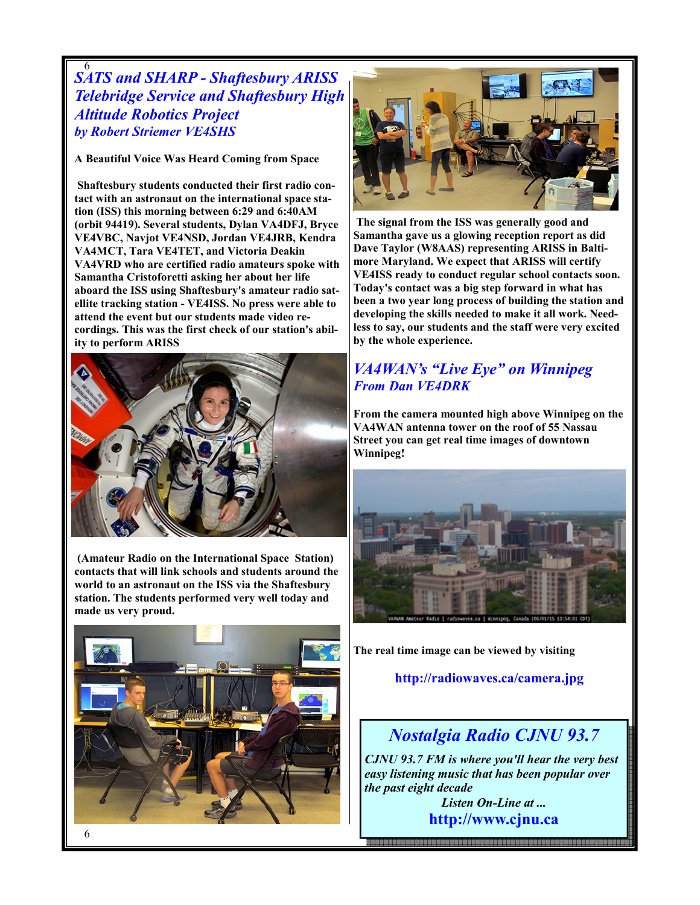## 6 SATS and SHARP - Shaftesbury ARISS Telebridge Service and Shaftesbury High Altitude Robotics Project by Robert Striemer VE4SHS

A Beautiful Voice Was Heard Coming from Space

 Shaftesbury students conducted their first radio contact with an astronaut on the international space station (ISS) this morning between 6:29 and 6:40AM (orbit 94419). Several students, Dylan VA4DFJ, Bryce VE4VBC, Navjot VE4NSD, Jordan VE4JRB, Kendra VA4MCT, Tara VE4TET, and Victoria Deakin VA4VRD who are certified radio amateurs spoke with Samantha Cristoforetti asking her about her life aboard the ISS using Shaftesbury's amateur radio satellite tracking station - VE4ISS. No press were able to attend the event but our students made video recordings. This was the first check of our station's ability to perform ARISS



 (Amateur Radio on the International Space Station) contacts that will link schools and students around the world to an astronaut on the ISS via the Shaftesbury station. The students performed very well today and made us very proud.





 The signal from the ISS was generally good and Samantha gave us a glowing reception report as did Dave Taylor (W8AAS) representing ARISS in Baltimore Maryland. We expect that ARISS will certify VE4ISS ready to conduct regular school contacts soon. Today's contact was a big step forward in what has been a two year long process of building the station and developing the skills needed to make it all work. Needless to say, our students and the staff were very excited by the whole experience.

## VA4WAN's "Live Eye" on Winnipeg From Dan VE4DRK

From the camera mounted high above Winnipeg on the VA4WAN antenna tower on the roof of 55 Nassau Street you can get real time images of downtown Winnipeg!



The real time image can be viewed by visiting

http://radiowaves.ca/camera.jpg

# Nostalgia Radio CJNU 93.7

CJNU 93.7 FM is where you'll hear the very best easy listening music that has been popular over the past eight decade

> Listen On-Line at ... http://www.cjnu.ca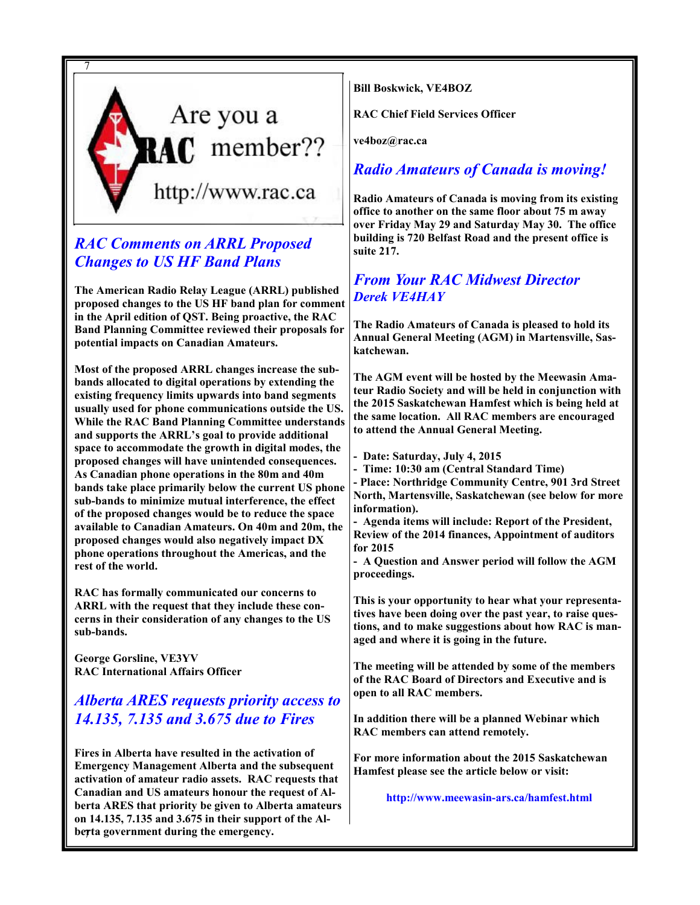

# RAC Comments on ARRL Proposed Changes to US HF Band Plans

The American Radio Relay League (ARRL) published proposed changes to the US HF band plan for comment in the April edition of QST. Being proactive, the RAC Band Planning Committee reviewed their proposals for potential impacts on Canadian Amateurs.

Most of the proposed ARRL changes increase the subbands allocated to digital operations by extending the existing frequency limits upwards into band segments usually used for phone communications outside the US. While the RAC Band Planning Committee understands and supports the ARRL's goal to provide additional space to accommodate the growth in digital modes, the proposed changes will have unintended consequences. As Canadian phone operations in the 80m and 40m bands take place primarily below the current US phone sub-bands to minimize mutual interference, the effect of the proposed changes would be to reduce the space available to Canadian Amateurs. On 40m and 20m, the proposed changes would also negatively impact DX phone operations throughout the Americas, and the rest of the world.

RAC has formally communicated our concerns to ARRL with the request that they include these concerns in their consideration of any changes to the US sub-bands.

George Gorsline, VE3YV RAC International Affairs Officer

# Alberta ARES requests priority access to 14.135, 7.135 and 3.675 due to Fires

berta government during the emergency. Fires in Alberta have resulted in the activation of Emergency Management Alberta and the subsequent activation of amateur radio assets. RAC requests that Canadian and US amateurs honour the request of Alberta ARES that priority be given to Alberta amateurs on 14.135, 7.135 and 3.675 in their support of the AlBill Boskwick, VE4BOZ

RAC Chief Field Services Officer

ve4boz@rac.ca

# Radio Amateurs of Canada is moving!

Radio Amateurs of Canada is moving from its existing office to another on the same floor about 75 m away over Friday May 29 and Saturday May 30. The office building is 720 Belfast Road and the present office is suite 217.

## From Your RAC Midwest Director Derek VE4HAY

The Radio Amateurs of Canada is pleased to hold its Annual General Meeting (AGM) in Martensville, Saskatchewan.

The AGM event will be hosted by the Meewasin Amateur Radio Society and will be held in conjunction with the 2015 Saskatchewan Hamfest which is being held at the same location. All RAC members are encouraged to attend the Annual General Meeting.

- Date: Saturday, July 4, 2015

- Time: 10:30 am (Central Standard Time)

- Place: Northridge Community Centre, 901 3rd Street North, Martensville, Saskatchewan (see below for more information).

- Agenda items will include: Report of the President, Review of the 2014 finances, Appointment of auditors for 2015

- A Question and Answer period will follow the AGM proceedings.

This is your opportunity to hear what your representatives have been doing over the past year, to raise questions, and to make suggestions about how RAC is managed and where it is going in the future.

The meeting will be attended by some of the members of the RAC Board of Directors and Executive and is open to all RAC members.

In addition there will be a planned Webinar which RAC members can attend remotely.

For more information about the 2015 Saskatchewan Hamfest please see the article below or visit:

http://www.meewasin-ars.ca/hamfest.html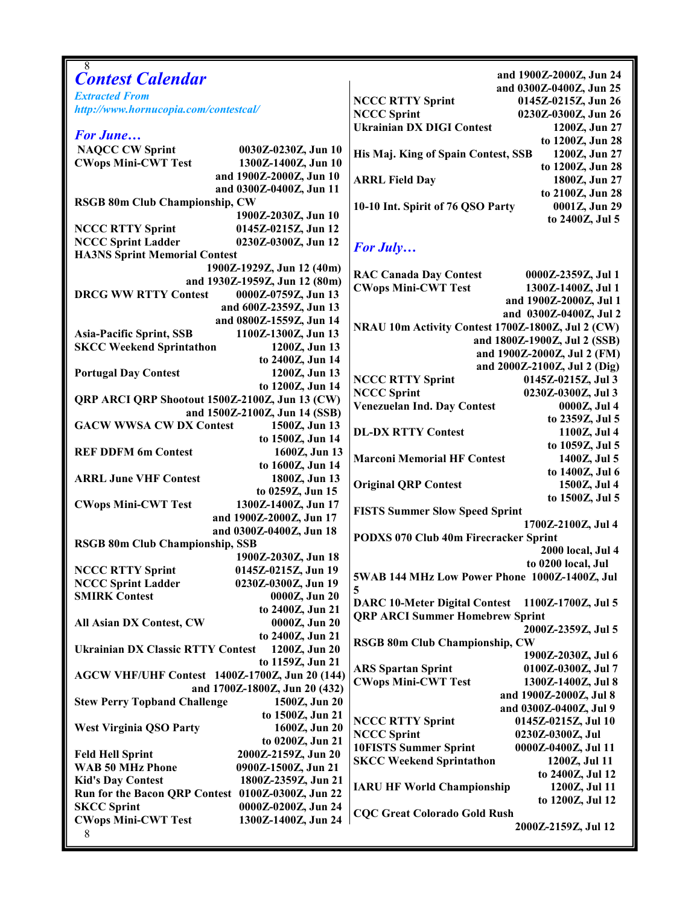| and 1900Z-2000Z, Jun 24<br><b>Contest Calendar</b><br>and 0300Z-0400Z, Jun 25<br><b>Extracted From</b><br><b>NCCC RTTY Sprint</b><br>0145Z-0215Z, Jun 26<br>http://www.hornucopia.com/contestcal/<br><b>NCCC Sprint</b><br>0230Z-0300Z, Jun 26<br><b>Ukrainian DX DIGI Contest</b><br>1200Z, Jun 27<br><b>For June</b><br>to 1200Z, Jun 28<br><b>NAQCC CW Sprint</b><br>0030Z-0230Z, Jun 10<br>His Maj. King of Spain Contest, SSB<br>1200Z, Jun 27<br><b>CWops Mini-CWT Test</b><br>1300Z-1400Z, Jun 10<br>to 1200Z, Jun 28<br>and 1900Z-2000Z, Jun 10<br><b>ARRL Field Day</b><br>1800Z, Jun 27<br>and 0300Z-0400Z, Jun 11<br>to 2100Z, Jun 28<br><b>RSGB 80m Club Championship, CW</b><br>10-10 Int. Spirit of 76 QSO Party<br>0001Z, Jun 29<br>1900Z-2030Z, Jun 10<br>to 2400Z, Jul 5<br><b>NCCC RTTY Sprint</b><br>0145Z-0215Z, Jun 12<br><b>NCCC Sprint Ladder</b><br>0230Z-0300Z, Jun 12<br>For July<br><b>HA3NS Sprint Memorial Contest</b><br>1900Z-1929Z, Jun 12 (40m)<br><b>RAC Canada Day Contest</b><br>0000Z-2359Z, Jul 1<br>and 1930Z-1959Z, Jun 12 (80m)<br><b>CWops Mini-CWT Test</b><br>1300Z-1400Z, Jul 1<br><b>DRCG WW RTTY Contest</b><br>0000Z-0759Z, Jun 13<br>and 1900Z-2000Z, Jul 1<br>and 600Z-2359Z, Jun 13<br>and 0300Z-0400Z, Jul 2<br>and 0800Z-1559Z, Jun 14<br>NRAU 10m Activity Contest 1700Z-1800Z, Jul 2 (CW)<br><b>Asia-Pacific Sprint, SSB</b><br>1100Z-1300Z, Jun 13<br>and 1800Z-1900Z, Jul 2 (SSB)<br><b>SKCC Weekend Sprintathon</b><br>1200Z, Jun 13<br>and 1900Z-2000Z, Jul 2 (FM)<br>to 2400Z, Jun 14<br>and 2000Z-2100Z, Jul 2 (Dig)<br>1200Z, Jun 13<br><b>Portugal Day Contest</b><br><b>NCCC RTTY Sprint</b><br>0145Z-0215Z, Jul 3<br>to 1200Z, Jun 14<br><b>NCCC Sprint</b><br>0230Z-0300Z, Jul 3<br>QRP ARCI QRP Shootout 1500Z-2100Z, Jun 13 (CW)<br><b>Venezuelan Ind. Day Contest</b><br>0000Z, Jul 4<br>and 1500Z-2100Z, Jun 14 (SSB)<br>to 2359Z, Jul 5<br><b>GACW WWSA CW DX Contest</b><br>1500Z, Jun 13<br><b>DL-DX RTTY Contest</b><br>1100Z, Jul 4<br>to 1500Z, Jun 14<br>to 1059Z, Jul 5<br><b>REF DDFM 6m Contest</b><br>1600Z, Jun 13<br><b>Marconi Memorial HF Contest</b><br>1400Z, Jul 5<br>to 1600Z, Jun 14<br>to 1400Z, Jul 6<br><b>ARRL June VHF Contest</b><br>1800Z, Jun 13<br><b>Original QRP Contest</b><br>1500Z, Jul 4<br>to 0259Z, Jun 15<br>to 1500Z, Jul 5<br>1300Z-1400Z, Jun 17<br><b>CWops Mini-CWT Test</b><br><b>FISTS Summer Slow Speed Sprint</b><br>and 1900Z-2000Z, Jun 17<br>1700Z-2100Z, Jul 4<br>and 0300Z-0400Z, Jun 18<br>PODXS 070 Club 40m Firecracker Sprint<br><b>RSGB 80m Club Championship, SSB</b><br>2000 local, Jul 4<br>1900Z-2030Z, Jun 18<br>to 0200 local, Jul<br><b>NCCC RTTY Sprint</b><br>0145Z-0215Z, Jun 19<br>5WAB 144 MHz Low Power Phone 1000Z-1400Z, Jul<br>0230Z-0300Z, Jun 19<br><b>NCCC Sprint Ladder</b><br>5<br><b>SMIRK Contest</b><br>0000Z, Jun 20<br><b>DARC 10-Meter Digital Contest</b><br>1100Z-1700Z, Jul 5<br>to 2400Z, Jun 21<br><b>QRP ARCI Summer Homebrew Sprint</b><br>0000Z, Jun 20<br>All Asian DX Contest, CW<br>2000Z-2359Z, Jul 5<br>to 2400Z, Jun 21<br><b>RSGB 80m Club Championship, CW</b> |
|------------------------------------------------------------------------------------------------------------------------------------------------------------------------------------------------------------------------------------------------------------------------------------------------------------------------------------------------------------------------------------------------------------------------------------------------------------------------------------------------------------------------------------------------------------------------------------------------------------------------------------------------------------------------------------------------------------------------------------------------------------------------------------------------------------------------------------------------------------------------------------------------------------------------------------------------------------------------------------------------------------------------------------------------------------------------------------------------------------------------------------------------------------------------------------------------------------------------------------------------------------------------------------------------------------------------------------------------------------------------------------------------------------------------------------------------------------------------------------------------------------------------------------------------------------------------------------------------------------------------------------------------------------------------------------------------------------------------------------------------------------------------------------------------------------------------------------------------------------------------------------------------------------------------------------------------------------------------------------------------------------------------------------------------------------------------------------------------------------------------------------------------------------------------------------------------------------------------------------------------------------------------------------------------------------------------------------------------------------------------------------------------------------------------------------------------------------------------------------------------------------------------------------------------------------------------------------------------------------------------------------------------------------------------------------------------------------------------------------------------------------------------------------------------------------------------------------------------------------------------------------------------------------------------------------------------------------------------------------------------------------------------------------------------------------------------------------------------------------------------------------------|
|                                                                                                                                                                                                                                                                                                                                                                                                                                                                                                                                                                                                                                                                                                                                                                                                                                                                                                                                                                                                                                                                                                                                                                                                                                                                                                                                                                                                                                                                                                                                                                                                                                                                                                                                                                                                                                                                                                                                                                                                                                                                                                                                                                                                                                                                                                                                                                                                                                                                                                                                                                                                                                                                                                                                                                                                                                                                                                                                                                                                                                                                                                                                          |
|                                                                                                                                                                                                                                                                                                                                                                                                                                                                                                                                                                                                                                                                                                                                                                                                                                                                                                                                                                                                                                                                                                                                                                                                                                                                                                                                                                                                                                                                                                                                                                                                                                                                                                                                                                                                                                                                                                                                                                                                                                                                                                                                                                                                                                                                                                                                                                                                                                                                                                                                                                                                                                                                                                                                                                                                                                                                                                                                                                                                                                                                                                                                          |
|                                                                                                                                                                                                                                                                                                                                                                                                                                                                                                                                                                                                                                                                                                                                                                                                                                                                                                                                                                                                                                                                                                                                                                                                                                                                                                                                                                                                                                                                                                                                                                                                                                                                                                                                                                                                                                                                                                                                                                                                                                                                                                                                                                                                                                                                                                                                                                                                                                                                                                                                                                                                                                                                                                                                                                                                                                                                                                                                                                                                                                                                                                                                          |
|                                                                                                                                                                                                                                                                                                                                                                                                                                                                                                                                                                                                                                                                                                                                                                                                                                                                                                                                                                                                                                                                                                                                                                                                                                                                                                                                                                                                                                                                                                                                                                                                                                                                                                                                                                                                                                                                                                                                                                                                                                                                                                                                                                                                                                                                                                                                                                                                                                                                                                                                                                                                                                                                                                                                                                                                                                                                                                                                                                                                                                                                                                                                          |
|                                                                                                                                                                                                                                                                                                                                                                                                                                                                                                                                                                                                                                                                                                                                                                                                                                                                                                                                                                                                                                                                                                                                                                                                                                                                                                                                                                                                                                                                                                                                                                                                                                                                                                                                                                                                                                                                                                                                                                                                                                                                                                                                                                                                                                                                                                                                                                                                                                                                                                                                                                                                                                                                                                                                                                                                                                                                                                                                                                                                                                                                                                                                          |
|                                                                                                                                                                                                                                                                                                                                                                                                                                                                                                                                                                                                                                                                                                                                                                                                                                                                                                                                                                                                                                                                                                                                                                                                                                                                                                                                                                                                                                                                                                                                                                                                                                                                                                                                                                                                                                                                                                                                                                                                                                                                                                                                                                                                                                                                                                                                                                                                                                                                                                                                                                                                                                                                                                                                                                                                                                                                                                                                                                                                                                                                                                                                          |
|                                                                                                                                                                                                                                                                                                                                                                                                                                                                                                                                                                                                                                                                                                                                                                                                                                                                                                                                                                                                                                                                                                                                                                                                                                                                                                                                                                                                                                                                                                                                                                                                                                                                                                                                                                                                                                                                                                                                                                                                                                                                                                                                                                                                                                                                                                                                                                                                                                                                                                                                                                                                                                                                                                                                                                                                                                                                                                                                                                                                                                                                                                                                          |
|                                                                                                                                                                                                                                                                                                                                                                                                                                                                                                                                                                                                                                                                                                                                                                                                                                                                                                                                                                                                                                                                                                                                                                                                                                                                                                                                                                                                                                                                                                                                                                                                                                                                                                                                                                                                                                                                                                                                                                                                                                                                                                                                                                                                                                                                                                                                                                                                                                                                                                                                                                                                                                                                                                                                                                                                                                                                                                                                                                                                                                                                                                                                          |
|                                                                                                                                                                                                                                                                                                                                                                                                                                                                                                                                                                                                                                                                                                                                                                                                                                                                                                                                                                                                                                                                                                                                                                                                                                                                                                                                                                                                                                                                                                                                                                                                                                                                                                                                                                                                                                                                                                                                                                                                                                                                                                                                                                                                                                                                                                                                                                                                                                                                                                                                                                                                                                                                                                                                                                                                                                                                                                                                                                                                                                                                                                                                          |
|                                                                                                                                                                                                                                                                                                                                                                                                                                                                                                                                                                                                                                                                                                                                                                                                                                                                                                                                                                                                                                                                                                                                                                                                                                                                                                                                                                                                                                                                                                                                                                                                                                                                                                                                                                                                                                                                                                                                                                                                                                                                                                                                                                                                                                                                                                                                                                                                                                                                                                                                                                                                                                                                                                                                                                                                                                                                                                                                                                                                                                                                                                                                          |
|                                                                                                                                                                                                                                                                                                                                                                                                                                                                                                                                                                                                                                                                                                                                                                                                                                                                                                                                                                                                                                                                                                                                                                                                                                                                                                                                                                                                                                                                                                                                                                                                                                                                                                                                                                                                                                                                                                                                                                                                                                                                                                                                                                                                                                                                                                                                                                                                                                                                                                                                                                                                                                                                                                                                                                                                                                                                                                                                                                                                                                                                                                                                          |
|                                                                                                                                                                                                                                                                                                                                                                                                                                                                                                                                                                                                                                                                                                                                                                                                                                                                                                                                                                                                                                                                                                                                                                                                                                                                                                                                                                                                                                                                                                                                                                                                                                                                                                                                                                                                                                                                                                                                                                                                                                                                                                                                                                                                                                                                                                                                                                                                                                                                                                                                                                                                                                                                                                                                                                                                                                                                                                                                                                                                                                                                                                                                          |
|                                                                                                                                                                                                                                                                                                                                                                                                                                                                                                                                                                                                                                                                                                                                                                                                                                                                                                                                                                                                                                                                                                                                                                                                                                                                                                                                                                                                                                                                                                                                                                                                                                                                                                                                                                                                                                                                                                                                                                                                                                                                                                                                                                                                                                                                                                                                                                                                                                                                                                                                                                                                                                                                                                                                                                                                                                                                                                                                                                                                                                                                                                                                          |
|                                                                                                                                                                                                                                                                                                                                                                                                                                                                                                                                                                                                                                                                                                                                                                                                                                                                                                                                                                                                                                                                                                                                                                                                                                                                                                                                                                                                                                                                                                                                                                                                                                                                                                                                                                                                                                                                                                                                                                                                                                                                                                                                                                                                                                                                                                                                                                                                                                                                                                                                                                                                                                                                                                                                                                                                                                                                                                                                                                                                                                                                                                                                          |
|                                                                                                                                                                                                                                                                                                                                                                                                                                                                                                                                                                                                                                                                                                                                                                                                                                                                                                                                                                                                                                                                                                                                                                                                                                                                                                                                                                                                                                                                                                                                                                                                                                                                                                                                                                                                                                                                                                                                                                                                                                                                                                                                                                                                                                                                                                                                                                                                                                                                                                                                                                                                                                                                                                                                                                                                                                                                                                                                                                                                                                                                                                                                          |
|                                                                                                                                                                                                                                                                                                                                                                                                                                                                                                                                                                                                                                                                                                                                                                                                                                                                                                                                                                                                                                                                                                                                                                                                                                                                                                                                                                                                                                                                                                                                                                                                                                                                                                                                                                                                                                                                                                                                                                                                                                                                                                                                                                                                                                                                                                                                                                                                                                                                                                                                                                                                                                                                                                                                                                                                                                                                                                                                                                                                                                                                                                                                          |
|                                                                                                                                                                                                                                                                                                                                                                                                                                                                                                                                                                                                                                                                                                                                                                                                                                                                                                                                                                                                                                                                                                                                                                                                                                                                                                                                                                                                                                                                                                                                                                                                                                                                                                                                                                                                                                                                                                                                                                                                                                                                                                                                                                                                                                                                                                                                                                                                                                                                                                                                                                                                                                                                                                                                                                                                                                                                                                                                                                                                                                                                                                                                          |
|                                                                                                                                                                                                                                                                                                                                                                                                                                                                                                                                                                                                                                                                                                                                                                                                                                                                                                                                                                                                                                                                                                                                                                                                                                                                                                                                                                                                                                                                                                                                                                                                                                                                                                                                                                                                                                                                                                                                                                                                                                                                                                                                                                                                                                                                                                                                                                                                                                                                                                                                                                                                                                                                                                                                                                                                                                                                                                                                                                                                                                                                                                                                          |
|                                                                                                                                                                                                                                                                                                                                                                                                                                                                                                                                                                                                                                                                                                                                                                                                                                                                                                                                                                                                                                                                                                                                                                                                                                                                                                                                                                                                                                                                                                                                                                                                                                                                                                                                                                                                                                                                                                                                                                                                                                                                                                                                                                                                                                                                                                                                                                                                                                                                                                                                                                                                                                                                                                                                                                                                                                                                                                                                                                                                                                                                                                                                          |
|                                                                                                                                                                                                                                                                                                                                                                                                                                                                                                                                                                                                                                                                                                                                                                                                                                                                                                                                                                                                                                                                                                                                                                                                                                                                                                                                                                                                                                                                                                                                                                                                                                                                                                                                                                                                                                                                                                                                                                                                                                                                                                                                                                                                                                                                                                                                                                                                                                                                                                                                                                                                                                                                                                                                                                                                                                                                                                                                                                                                                                                                                                                                          |
|                                                                                                                                                                                                                                                                                                                                                                                                                                                                                                                                                                                                                                                                                                                                                                                                                                                                                                                                                                                                                                                                                                                                                                                                                                                                                                                                                                                                                                                                                                                                                                                                                                                                                                                                                                                                                                                                                                                                                                                                                                                                                                                                                                                                                                                                                                                                                                                                                                                                                                                                                                                                                                                                                                                                                                                                                                                                                                                                                                                                                                                                                                                                          |
|                                                                                                                                                                                                                                                                                                                                                                                                                                                                                                                                                                                                                                                                                                                                                                                                                                                                                                                                                                                                                                                                                                                                                                                                                                                                                                                                                                                                                                                                                                                                                                                                                                                                                                                                                                                                                                                                                                                                                                                                                                                                                                                                                                                                                                                                                                                                                                                                                                                                                                                                                                                                                                                                                                                                                                                                                                                                                                                                                                                                                                                                                                                                          |
|                                                                                                                                                                                                                                                                                                                                                                                                                                                                                                                                                                                                                                                                                                                                                                                                                                                                                                                                                                                                                                                                                                                                                                                                                                                                                                                                                                                                                                                                                                                                                                                                                                                                                                                                                                                                                                                                                                                                                                                                                                                                                                                                                                                                                                                                                                                                                                                                                                                                                                                                                                                                                                                                                                                                                                                                                                                                                                                                                                                                                                                                                                                                          |
|                                                                                                                                                                                                                                                                                                                                                                                                                                                                                                                                                                                                                                                                                                                                                                                                                                                                                                                                                                                                                                                                                                                                                                                                                                                                                                                                                                                                                                                                                                                                                                                                                                                                                                                                                                                                                                                                                                                                                                                                                                                                                                                                                                                                                                                                                                                                                                                                                                                                                                                                                                                                                                                                                                                                                                                                                                                                                                                                                                                                                                                                                                                                          |
|                                                                                                                                                                                                                                                                                                                                                                                                                                                                                                                                                                                                                                                                                                                                                                                                                                                                                                                                                                                                                                                                                                                                                                                                                                                                                                                                                                                                                                                                                                                                                                                                                                                                                                                                                                                                                                                                                                                                                                                                                                                                                                                                                                                                                                                                                                                                                                                                                                                                                                                                                                                                                                                                                                                                                                                                                                                                                                                                                                                                                                                                                                                                          |
|                                                                                                                                                                                                                                                                                                                                                                                                                                                                                                                                                                                                                                                                                                                                                                                                                                                                                                                                                                                                                                                                                                                                                                                                                                                                                                                                                                                                                                                                                                                                                                                                                                                                                                                                                                                                                                                                                                                                                                                                                                                                                                                                                                                                                                                                                                                                                                                                                                                                                                                                                                                                                                                                                                                                                                                                                                                                                                                                                                                                                                                                                                                                          |
|                                                                                                                                                                                                                                                                                                                                                                                                                                                                                                                                                                                                                                                                                                                                                                                                                                                                                                                                                                                                                                                                                                                                                                                                                                                                                                                                                                                                                                                                                                                                                                                                                                                                                                                                                                                                                                                                                                                                                                                                                                                                                                                                                                                                                                                                                                                                                                                                                                                                                                                                                                                                                                                                                                                                                                                                                                                                                                                                                                                                                                                                                                                                          |
|                                                                                                                                                                                                                                                                                                                                                                                                                                                                                                                                                                                                                                                                                                                                                                                                                                                                                                                                                                                                                                                                                                                                                                                                                                                                                                                                                                                                                                                                                                                                                                                                                                                                                                                                                                                                                                                                                                                                                                                                                                                                                                                                                                                                                                                                                                                                                                                                                                                                                                                                                                                                                                                                                                                                                                                                                                                                                                                                                                                                                                                                                                                                          |
|                                                                                                                                                                                                                                                                                                                                                                                                                                                                                                                                                                                                                                                                                                                                                                                                                                                                                                                                                                                                                                                                                                                                                                                                                                                                                                                                                                                                                                                                                                                                                                                                                                                                                                                                                                                                                                                                                                                                                                                                                                                                                                                                                                                                                                                                                                                                                                                                                                                                                                                                                                                                                                                                                                                                                                                                                                                                                                                                                                                                                                                                                                                                          |
|                                                                                                                                                                                                                                                                                                                                                                                                                                                                                                                                                                                                                                                                                                                                                                                                                                                                                                                                                                                                                                                                                                                                                                                                                                                                                                                                                                                                                                                                                                                                                                                                                                                                                                                                                                                                                                                                                                                                                                                                                                                                                                                                                                                                                                                                                                                                                                                                                                                                                                                                                                                                                                                                                                                                                                                                                                                                                                                                                                                                                                                                                                                                          |
|                                                                                                                                                                                                                                                                                                                                                                                                                                                                                                                                                                                                                                                                                                                                                                                                                                                                                                                                                                                                                                                                                                                                                                                                                                                                                                                                                                                                                                                                                                                                                                                                                                                                                                                                                                                                                                                                                                                                                                                                                                                                                                                                                                                                                                                                                                                                                                                                                                                                                                                                                                                                                                                                                                                                                                                                                                                                                                                                                                                                                                                                                                                                          |
|                                                                                                                                                                                                                                                                                                                                                                                                                                                                                                                                                                                                                                                                                                                                                                                                                                                                                                                                                                                                                                                                                                                                                                                                                                                                                                                                                                                                                                                                                                                                                                                                                                                                                                                                                                                                                                                                                                                                                                                                                                                                                                                                                                                                                                                                                                                                                                                                                                                                                                                                                                                                                                                                                                                                                                                                                                                                                                                                                                                                                                                                                                                                          |
|                                                                                                                                                                                                                                                                                                                                                                                                                                                                                                                                                                                                                                                                                                                                                                                                                                                                                                                                                                                                                                                                                                                                                                                                                                                                                                                                                                                                                                                                                                                                                                                                                                                                                                                                                                                                                                                                                                                                                                                                                                                                                                                                                                                                                                                                                                                                                                                                                                                                                                                                                                                                                                                                                                                                                                                                                                                                                                                                                                                                                                                                                                                                          |
|                                                                                                                                                                                                                                                                                                                                                                                                                                                                                                                                                                                                                                                                                                                                                                                                                                                                                                                                                                                                                                                                                                                                                                                                                                                                                                                                                                                                                                                                                                                                                                                                                                                                                                                                                                                                                                                                                                                                                                                                                                                                                                                                                                                                                                                                                                                                                                                                                                                                                                                                                                                                                                                                                                                                                                                                                                                                                                                                                                                                                                                                                                                                          |
|                                                                                                                                                                                                                                                                                                                                                                                                                                                                                                                                                                                                                                                                                                                                                                                                                                                                                                                                                                                                                                                                                                                                                                                                                                                                                                                                                                                                                                                                                                                                                                                                                                                                                                                                                                                                                                                                                                                                                                                                                                                                                                                                                                                                                                                                                                                                                                                                                                                                                                                                                                                                                                                                                                                                                                                                                                                                                                                                                                                                                                                                                                                                          |
|                                                                                                                                                                                                                                                                                                                                                                                                                                                                                                                                                                                                                                                                                                                                                                                                                                                                                                                                                                                                                                                                                                                                                                                                                                                                                                                                                                                                                                                                                                                                                                                                                                                                                                                                                                                                                                                                                                                                                                                                                                                                                                                                                                                                                                                                                                                                                                                                                                                                                                                                                                                                                                                                                                                                                                                                                                                                                                                                                                                                                                                                                                                                          |
|                                                                                                                                                                                                                                                                                                                                                                                                                                                                                                                                                                                                                                                                                                                                                                                                                                                                                                                                                                                                                                                                                                                                                                                                                                                                                                                                                                                                                                                                                                                                                                                                                                                                                                                                                                                                                                                                                                                                                                                                                                                                                                                                                                                                                                                                                                                                                                                                                                                                                                                                                                                                                                                                                                                                                                                                                                                                                                                                                                                                                                                                                                                                          |
|                                                                                                                                                                                                                                                                                                                                                                                                                                                                                                                                                                                                                                                                                                                                                                                                                                                                                                                                                                                                                                                                                                                                                                                                                                                                                                                                                                                                                                                                                                                                                                                                                                                                                                                                                                                                                                                                                                                                                                                                                                                                                                                                                                                                                                                                                                                                                                                                                                                                                                                                                                                                                                                                                                                                                                                                                                                                                                                                                                                                                                                                                                                                          |
|                                                                                                                                                                                                                                                                                                                                                                                                                                                                                                                                                                                                                                                                                                                                                                                                                                                                                                                                                                                                                                                                                                                                                                                                                                                                                                                                                                                                                                                                                                                                                                                                                                                                                                                                                                                                                                                                                                                                                                                                                                                                                                                                                                                                                                                                                                                                                                                                                                                                                                                                                                                                                                                                                                                                                                                                                                                                                                                                                                                                                                                                                                                                          |
|                                                                                                                                                                                                                                                                                                                                                                                                                                                                                                                                                                                                                                                                                                                                                                                                                                                                                                                                                                                                                                                                                                                                                                                                                                                                                                                                                                                                                                                                                                                                                                                                                                                                                                                                                                                                                                                                                                                                                                                                                                                                                                                                                                                                                                                                                                                                                                                                                                                                                                                                                                                                                                                                                                                                                                                                                                                                                                                                                                                                                                                                                                                                          |
|                                                                                                                                                                                                                                                                                                                                                                                                                                                                                                                                                                                                                                                                                                                                                                                                                                                                                                                                                                                                                                                                                                                                                                                                                                                                                                                                                                                                                                                                                                                                                                                                                                                                                                                                                                                                                                                                                                                                                                                                                                                                                                                                                                                                                                                                                                                                                                                                                                                                                                                                                                                                                                                                                                                                                                                                                                                                                                                                                                                                                                                                                                                                          |
|                                                                                                                                                                                                                                                                                                                                                                                                                                                                                                                                                                                                                                                                                                                                                                                                                                                                                                                                                                                                                                                                                                                                                                                                                                                                                                                                                                                                                                                                                                                                                                                                                                                                                                                                                                                                                                                                                                                                                                                                                                                                                                                                                                                                                                                                                                                                                                                                                                                                                                                                                                                                                                                                                                                                                                                                                                                                                                                                                                                                                                                                                                                                          |
|                                                                                                                                                                                                                                                                                                                                                                                                                                                                                                                                                                                                                                                                                                                                                                                                                                                                                                                                                                                                                                                                                                                                                                                                                                                                                                                                                                                                                                                                                                                                                                                                                                                                                                                                                                                                                                                                                                                                                                                                                                                                                                                                                                                                                                                                                                                                                                                                                                                                                                                                                                                                                                                                                                                                                                                                                                                                                                                                                                                                                                                                                                                                          |
| 1200Z, Jun 20<br><b>Ukrainian DX Classic RTTY Contest</b><br>1900Z-2030Z, Jul 6                                                                                                                                                                                                                                                                                                                                                                                                                                                                                                                                                                                                                                                                                                                                                                                                                                                                                                                                                                                                                                                                                                                                                                                                                                                                                                                                                                                                                                                                                                                                                                                                                                                                                                                                                                                                                                                                                                                                                                                                                                                                                                                                                                                                                                                                                                                                                                                                                                                                                                                                                                                                                                                                                                                                                                                                                                                                                                                                                                                                                                                          |
| to 1159Z, Jun 21<br><b>ARS Spartan Sprint</b><br>0100Z-0300Z, Jul 7                                                                                                                                                                                                                                                                                                                                                                                                                                                                                                                                                                                                                                                                                                                                                                                                                                                                                                                                                                                                                                                                                                                                                                                                                                                                                                                                                                                                                                                                                                                                                                                                                                                                                                                                                                                                                                                                                                                                                                                                                                                                                                                                                                                                                                                                                                                                                                                                                                                                                                                                                                                                                                                                                                                                                                                                                                                                                                                                                                                                                                                                      |
| <b>AGCW VHF/UHF Contest 1400Z-1700Z, Jun 20 (144)</b><br><b>CWops Mini-CWT Test</b><br>1300Z-1400Z, Jul 8                                                                                                                                                                                                                                                                                                                                                                                                                                                                                                                                                                                                                                                                                                                                                                                                                                                                                                                                                                                                                                                                                                                                                                                                                                                                                                                                                                                                                                                                                                                                                                                                                                                                                                                                                                                                                                                                                                                                                                                                                                                                                                                                                                                                                                                                                                                                                                                                                                                                                                                                                                                                                                                                                                                                                                                                                                                                                                                                                                                                                                |
| and 1700Z-1800Z, Jun 20 (432)<br>and 1900Z-2000Z, Jul 8                                                                                                                                                                                                                                                                                                                                                                                                                                                                                                                                                                                                                                                                                                                                                                                                                                                                                                                                                                                                                                                                                                                                                                                                                                                                                                                                                                                                                                                                                                                                                                                                                                                                                                                                                                                                                                                                                                                                                                                                                                                                                                                                                                                                                                                                                                                                                                                                                                                                                                                                                                                                                                                                                                                                                                                                                                                                                                                                                                                                                                                                                  |
| <b>Stew Perry Topband Challenge</b><br>1500Z, Jun 20<br>and 0300Z-0400Z, Jul 9                                                                                                                                                                                                                                                                                                                                                                                                                                                                                                                                                                                                                                                                                                                                                                                                                                                                                                                                                                                                                                                                                                                                                                                                                                                                                                                                                                                                                                                                                                                                                                                                                                                                                                                                                                                                                                                                                                                                                                                                                                                                                                                                                                                                                                                                                                                                                                                                                                                                                                                                                                                                                                                                                                                                                                                                                                                                                                                                                                                                                                                           |
| to 1500Z, Jun 21<br><b>NCCC RTTY Sprint</b><br>0145Z-0215Z, Jul 10                                                                                                                                                                                                                                                                                                                                                                                                                                                                                                                                                                                                                                                                                                                                                                                                                                                                                                                                                                                                                                                                                                                                                                                                                                                                                                                                                                                                                                                                                                                                                                                                                                                                                                                                                                                                                                                                                                                                                                                                                                                                                                                                                                                                                                                                                                                                                                                                                                                                                                                                                                                                                                                                                                                                                                                                                                                                                                                                                                                                                                                                       |
| <b>West Virginia QSO Party</b><br>1600Z, Jun 20<br><b>NCCC Sprint</b><br>0230Z-0300Z, Jul                                                                                                                                                                                                                                                                                                                                                                                                                                                                                                                                                                                                                                                                                                                                                                                                                                                                                                                                                                                                                                                                                                                                                                                                                                                                                                                                                                                                                                                                                                                                                                                                                                                                                                                                                                                                                                                                                                                                                                                                                                                                                                                                                                                                                                                                                                                                                                                                                                                                                                                                                                                                                                                                                                                                                                                                                                                                                                                                                                                                                                                |
|                                                                                                                                                                                                                                                                                                                                                                                                                                                                                                                                                                                                                                                                                                                                                                                                                                                                                                                                                                                                                                                                                                                                                                                                                                                                                                                                                                                                                                                                                                                                                                                                                                                                                                                                                                                                                                                                                                                                                                                                                                                                                                                                                                                                                                                                                                                                                                                                                                                                                                                                                                                                                                                                                                                                                                                                                                                                                                                                                                                                                                                                                                                                          |
| to 0200Z, Jun 21                                                                                                                                                                                                                                                                                                                                                                                                                                                                                                                                                                                                                                                                                                                                                                                                                                                                                                                                                                                                                                                                                                                                                                                                                                                                                                                                                                                                                                                                                                                                                                                                                                                                                                                                                                                                                                                                                                                                                                                                                                                                                                                                                                                                                                                                                                                                                                                                                                                                                                                                                                                                                                                                                                                                                                                                                                                                                                                                                                                                                                                                                                                         |
| <b>10FISTS Summer Sprint</b><br>0000Z-0400Z, Jul 11<br><b>Feld Hell Sprint</b><br>2000Z-2159Z, Jun 20                                                                                                                                                                                                                                                                                                                                                                                                                                                                                                                                                                                                                                                                                                                                                                                                                                                                                                                                                                                                                                                                                                                                                                                                                                                                                                                                                                                                                                                                                                                                                                                                                                                                                                                                                                                                                                                                                                                                                                                                                                                                                                                                                                                                                                                                                                                                                                                                                                                                                                                                                                                                                                                                                                                                                                                                                                                                                                                                                                                                                                    |
| <b>SKCC Weekend Sprintathon</b><br>1200Z, Jul 11<br><b>WAB 50 MHz Phone</b><br>0900Z-1500Z, Jun 21                                                                                                                                                                                                                                                                                                                                                                                                                                                                                                                                                                                                                                                                                                                                                                                                                                                                                                                                                                                                                                                                                                                                                                                                                                                                                                                                                                                                                                                                                                                                                                                                                                                                                                                                                                                                                                                                                                                                                                                                                                                                                                                                                                                                                                                                                                                                                                                                                                                                                                                                                                                                                                                                                                                                                                                                                                                                                                                                                                                                                                       |
| to 2400Z, Jul 12<br><b>Kid's Day Contest</b><br>1800Z-2359Z, Jun 21                                                                                                                                                                                                                                                                                                                                                                                                                                                                                                                                                                                                                                                                                                                                                                                                                                                                                                                                                                                                                                                                                                                                                                                                                                                                                                                                                                                                                                                                                                                                                                                                                                                                                                                                                                                                                                                                                                                                                                                                                                                                                                                                                                                                                                                                                                                                                                                                                                                                                                                                                                                                                                                                                                                                                                                                                                                                                                                                                                                                                                                                      |
| 1200Z, Jul 11<br><b>IARU HF World Championship</b><br>Run for the Bacon QRP Contest 0100Z-0300Z, Jun 22                                                                                                                                                                                                                                                                                                                                                                                                                                                                                                                                                                                                                                                                                                                                                                                                                                                                                                                                                                                                                                                                                                                                                                                                                                                                                                                                                                                                                                                                                                                                                                                                                                                                                                                                                                                                                                                                                                                                                                                                                                                                                                                                                                                                                                                                                                                                                                                                                                                                                                                                                                                                                                                                                                                                                                                                                                                                                                                                                                                                                                  |
| to 1200Z, Jul 12<br><b>SKCC Sprint</b><br>0000Z-0200Z, Jun 24                                                                                                                                                                                                                                                                                                                                                                                                                                                                                                                                                                                                                                                                                                                                                                                                                                                                                                                                                                                                                                                                                                                                                                                                                                                                                                                                                                                                                                                                                                                                                                                                                                                                                                                                                                                                                                                                                                                                                                                                                                                                                                                                                                                                                                                                                                                                                                                                                                                                                                                                                                                                                                                                                                                                                                                                                                                                                                                                                                                                                                                                            |
| <b>CQC Great Colorado Gold Rush</b><br><b>CWops Mini-CWT Test</b><br>1300Z-1400Z, Jun 24<br>2000Z-2159Z, Jul 12                                                                                                                                                                                                                                                                                                                                                                                                                                                                                                                                                                                                                                                                                                                                                                                                                                                                                                                                                                                                                                                                                                                                                                                                                                                                                                                                                                                                                                                                                                                                                                                                                                                                                                                                                                                                                                                                                                                                                                                                                                                                                                                                                                                                                                                                                                                                                                                                                                                                                                                                                                                                                                                                                                                                                                                                                                                                                                                                                                                                                          |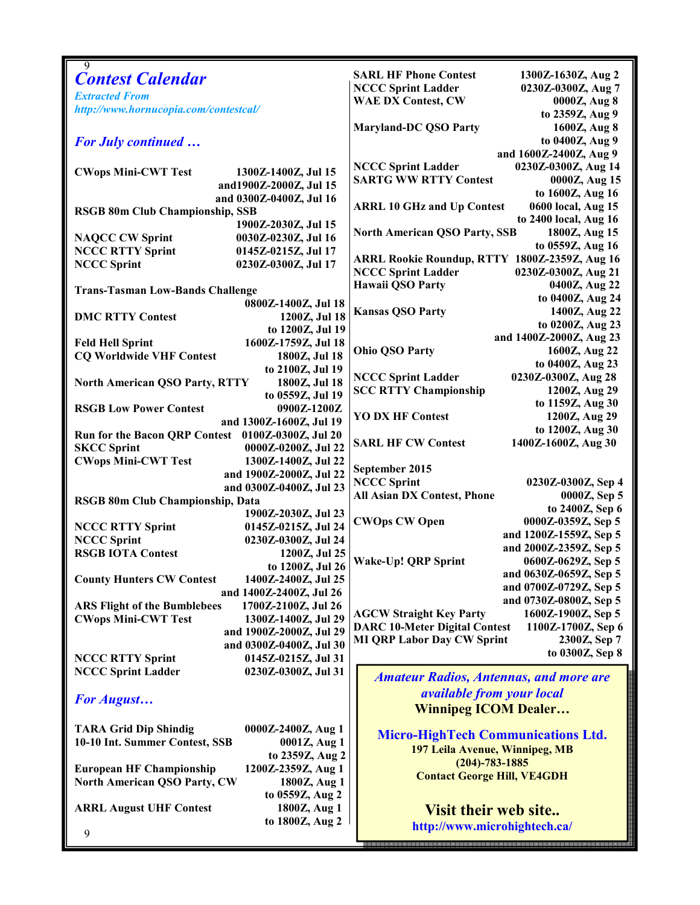| 9<br><b>Contest Calendar</b>                               | <b>SARL HF Phone Contest</b><br>1300Z-1630Z, Aug 2         |
|------------------------------------------------------------|------------------------------------------------------------|
| <b>Extracted From</b>                                      | <b>NCCC Sprint Ladder</b><br>0230Z-0300Z, Aug 7            |
| http://www.hornucopia.com/contestcal/                      | <b>WAE DX Contest, CW</b><br>0000Z, Aug 8                  |
|                                                            | to 2359Z, Aug 9                                            |
|                                                            | <b>Maryland-DC QSO Party</b><br>1600Z, Aug 8               |
| <b>For July continued </b>                                 | to 0400Z, Aug 9                                            |
|                                                            | and 1600Z-2400Z, Aug 9                                     |
| 1300Z-1400Z, Jul 15<br><b>CWops Mini-CWT Test</b>          | <b>NCCC Sprint Ladder</b><br>0230Z-0300Z, Aug 14           |
| and1900Z-2000Z, Jul 15                                     | <b>SARTG WW RTTY Contest</b><br>0000Z, Aug 15              |
| and 0300Z-0400Z, Jul 16                                    | to 1600Z, Aug 16                                           |
| <b>RSGB 80m Club Championship, SSB</b>                     | <b>ARRL 10 GHz and Up Contest</b><br>0600 local, Aug 15    |
| 1900Z-2030Z, Jul 15                                        | to 2400 local, Aug 16                                      |
| <b>NAQCC CW Sprint</b><br>0030Z-0230Z, Jul 16              | <b>North American QSO Party, SSB</b><br>1800Z, Aug 15      |
| <b>NCCC RTTY Sprint</b><br>0145Z-0215Z, Jul 17             | to 0559Z, Aug 16                                           |
| <b>NCCC Sprint</b><br>0230Z-0300Z, Jul 17                  | ARRL Rookie Roundup, RTTY 1800Z-2359Z, Aug 16              |
|                                                            | <b>NCCC Sprint Ladder</b><br>0230Z-0300Z, Aug 21           |
| <b>Trans-Tasman Low-Bands Challenge</b>                    | Hawaii QSO Party<br>0400Z, Aug 22                          |
|                                                            | to 0400Z, Aug 24                                           |
| 0800Z-1400Z, Jul 18                                        | 1400Z, Aug 22<br><b>Kansas QSO Party</b>                   |
| 1200Z, Jul 18<br><b>DMC RTTY Contest</b>                   | to 0200Z, Aug 23                                           |
| to 1200Z, Jul 19                                           | and 1400Z-2000Z, Aug 23                                    |
| 1600Z-1759Z, Jul 18<br><b>Feld Hell Sprint</b>             | <b>Ohio QSO Party</b><br>1600Z, Aug 22                     |
| <b>CQ Worldwide VHF Contest</b><br>1800Z, Jul 18           | to 0400Z, Aug 23                                           |
| to 2100Z, Jul 19                                           | 0230Z-0300Z, Aug 28<br><b>NCCC Sprint Ladder</b>           |
| 1800Z, Jul 18<br><b>North American QSO Party, RTTY</b>     | <b>SCC RTTY Championship</b><br>1200Z, Aug 29              |
| to 0559Z, Jul 19                                           | to 1159Z, Aug 30                                           |
| 0900Z-1200Z<br><b>RSGB Low Power Contest</b>               | <b>YO DX HF Contest</b><br>1200Z, Aug 29                   |
| and 1300Z-1600Z, Jul 19                                    | to 1200Z, Aug 30                                           |
| Run for the Bacon QRP Contest 0100Z-0300Z, Jul 20          | <b>SARL HF CW Contest</b><br>1400Z-1600Z, Aug 30           |
| <b>SKCC Sprint</b><br>0000Z-0200Z, Jul 22                  |                                                            |
| <b>CWops Mini-CWT Test</b><br>1300Z-1400Z, Jul 22          |                                                            |
| and 1900Z-2000Z, Jul 22                                    | September 2015<br><b>NCCC Sprint</b><br>0230Z-0300Z, Sep 4 |
| and 0300Z-0400Z, Jul 23                                    | All Asian DX Contest, Phone<br>0000Z, Sep 5                |
| RSGB 80m Club Championship, Data                           |                                                            |
| 1900Z-2030Z, Jul 23                                        | to 2400Z, Sep 6                                            |
| <b>NCCC RTTY Sprint</b><br>0145Z-0215Z, Jul 24             | <b>CWOps CW Open</b><br>0000Z-0359Z, Sep 5                 |
| <b>NCCC Sprint</b><br>0230Z-0300Z, Jul 24                  | and 1200Z-1559Z, Sep 5                                     |
| <b>RSGB IOTA Contest</b><br>1200Z, Jul 25                  | and 2000Z-2359Z, Sep 5                                     |
| to 1200Z, Jul 26                                           | <b>Wake-Up! QRP Sprint</b><br>0600Z-0629Z, Sep 5           |
| <b>County Hunters CW Contest</b><br>1400Z-2400Z, Jul 25    | and 0630Z-0659Z, Sep 5                                     |
| and 1400Z-2400Z, Jul 26                                    | and 0700Z-0729Z, Sep 5                                     |
| <b>ARS Flight of the Bumblebees</b><br>1700Z-2100Z, Jul 26 | and 0730Z-0800Z, Sep 5                                     |
| 1300Z-1400Z, Jul 29<br><b>CWops Mini-CWT Test</b>          | <b>AGCW Straight Key Party</b><br>1600Z-1900Z, Sep 5       |
| and 1900Z-2000Z, Jul 29                                    | <b>DARC 10-Meter Digital Contest</b><br>1100Z-1700Z, Sep 6 |
| and 0300Z-0400Z, Jul 30                                    | <b>MI QRP Labor Day CW Sprint</b><br>2300Z, Sep 7          |
| <b>NCCC RTTY Sprint</b><br>0145Z-0215Z, Jul 31             | to 0300Z, Sep 8                                            |
| <b>NCCC Sprint Ladder</b><br>0230Z-0300Z, Jul 31           |                                                            |
|                                                            | <b>Amateur Radios, Antennas, and more are</b>              |
| For August                                                 | <i>available from your local</i>                           |
|                                                            | <b>Winnipeg ICOM Dealer</b>                                |
|                                                            |                                                            |
| <b>TARA Grid Dip Shindig</b><br>0000Z-2400Z, Aug 1         | <b>Micro-HighTech Communications Ltd.</b>                  |
| 10-10 Int. Summer Contest, SSB<br>0001Z, Aug 1             | 197 Leila Avenue, Winnipeg, MB                             |
| to 2359Z, Aug 2                                            | $(204) - 783 - 1885$                                       |
| <b>European HF Championship</b><br>1200Z-2359Z, Aug 1      | <b>Contact George Hill, VE4GDH</b>                         |
| <b>North American QSO Party, CW</b><br>1800Z, Aug 1        |                                                            |
| to 0559Z, Aug 2                                            |                                                            |
| 1800Z, Aug 1<br><b>ARRL August UHF Contest</b>             | <b>Visit their web site</b>                                |
| to 1800Z, Aug 2                                            | http://www.microhightech.ca/                               |
| 9                                                          |                                                            |